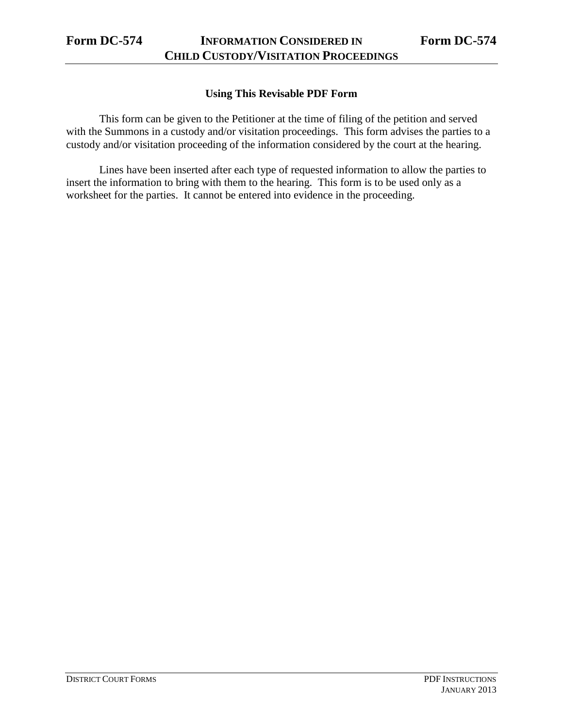## **Using This Revisable PDF Form**

This form can be given to the Petitioner at the time of filing of the petition and served with the Summons in a custody and/or visitation proceedings. This form advises the parties to a custody and/or visitation proceeding of the information considered by the court at the hearing.

Lines have been inserted after each type of requested information to allow the parties to insert the information to bring with them to the hearing. This form is to be used only as a worksheet for the parties. It cannot be entered into evidence in the proceeding.